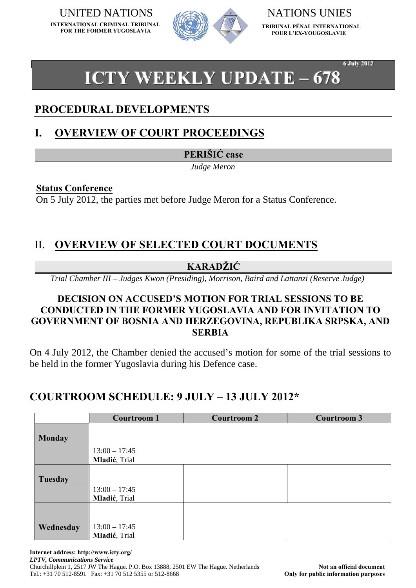**INTERNATIONAL CRIMINAL TRIBUNAL FOR THE FORMER YUGOSLAVIA**



**TRIBUNAL PÉNAL INTERNATIONAL POUR L'EX-YOUGOSLAVIE**

**6 July 2012** 

# **ICTY WEEKLY UPDATE – 678**

## **PROCEDURAL DEVELOPMENTS**

## **I. OVERVIEW OF COURT PROCEEDINGS**

**PERIŠIĆ case** 

*Judge Meron* 

#### **Status Conference**

On 5 July 2012, the parties met before Judge Meron for a Status Conference.

## II. **OVERVIEW OF SELECTED COURT DOCUMENTS**

#### **KARADŽIĆ**

*Trial Chamber III – Judges Kwon (Presiding), Morrison, Baird and Lattanzi (Reserve Judge)* 

#### **DECISION ON ACCUSED'S MOTION FOR TRIAL SESSIONS TO BE CONDUCTED IN THE FORMER YUGOSLAVIA AND FOR INVITATION TO GOVERNMENT OF BOSNIA AND HERZEGOVINA, REPUBLIKA SRPSKA, AND SERBIA**

On 4 July 2012, the Chamber denied the accused's motion for some of the trial sessions to be held in the former Yugoslavia during his Defence case.

## **COURTROOM SCHEDULE: 9 JULY – 13 JULY 2012\***

|               | <b>Courtroom 1</b> | <b>Courtroom 2</b> | <b>Courtroom 3</b> |
|---------------|--------------------|--------------------|--------------------|
|               |                    |                    |                    |
| <b>Monday</b> |                    |                    |                    |
|               | $13:00 - 17:45$    |                    |                    |
|               | Mladić, Trial      |                    |                    |
|               |                    |                    |                    |
| Tuesday       |                    |                    |                    |
|               | $13:00 - 17:45$    |                    |                    |
|               | Mladić, Trial      |                    |                    |
|               |                    |                    |                    |
|               |                    |                    |                    |
| Wednesday     | $13:00 - 17:45$    |                    |                    |
|               | Mladić, Trial      |                    |                    |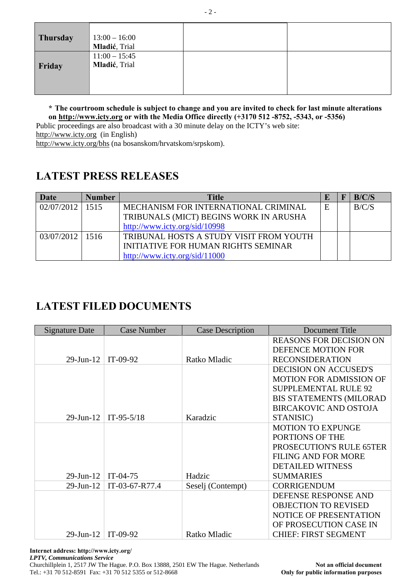| <b>Thursday</b> | $13:00 - 16:00$<br>Mladić, Trial |  |
|-----------------|----------------------------------|--|
| Friday          | $11:00 - 15:45$<br>Mladić, Trial |  |

**\* The courtroom schedule is subject to change and you are invited to check for last minute alterations on [http://www.icty.org](http://www.icty.org/) or with the Media Office directly (+3170 512 -8752, -5343, or -5356)** 

Public proceedings are also broadcast with a 30 minute delay on the ICTY's web site: [http://www.icty.org](http://www.icty.org/)(in English)

<http://www.icty.org/bhs>(na bosanskom/hrvatskom/srpskom).

# **LATEST PRESS RELEASES**

| Date                | <b>Number</b> | <b>Title</b>                               |   | B/C/S |
|---------------------|---------------|--------------------------------------------|---|-------|
| 02/07/2012          | 1515          | MECHANISM FOR INTERNATIONAL CRIMINAL       | E | B/C/S |
|                     |               | TRIBUNALS (MICT) BEGINS WORK IN ARUSHA     |   |       |
|                     |               | http://www.icty.org/sid/10998              |   |       |
| $03/07/2012$   1516 |               | TRIBUNAL HOSTS A STUDY VISIT FROM YOUTH    |   |       |
|                     |               | <b>INITIATIVE FOR HUMAN RIGHTS SEMINAR</b> |   |       |
|                     |               | http://www.icty.org/sid/11000              |   |       |

# **LATEST FILED DOCUMENTS**

| <b>Signature Date</b> | <b>Case Number</b> | <b>Case Description</b> | Document Title                 |
|-----------------------|--------------------|-------------------------|--------------------------------|
|                       |                    |                         | <b>REASONS FOR DECISION ON</b> |
|                       |                    |                         | DEFENCE MOTION FOR             |
| $29$ -Jun- $12$       | $IT-09-92$         | Ratko Mladic            | <b>RECONSIDERATION</b>         |
|                       |                    |                         | <b>DECISION ON ACCUSED'S</b>   |
|                       |                    |                         | <b>MOTION FOR ADMISSION OF</b> |
|                       |                    |                         | <b>SUPPLEMENTAL RULE 92</b>    |
|                       |                    |                         | <b>BIS STATEMENTS (MILORAD</b> |
|                       |                    |                         | <b>BIRCAKOVIC AND OSTOJA</b>   |
| $29$ -Jun-12          | $IT-95-5/18$       | Karadzic                | STANISIC)                      |
|                       |                    |                         | <b>MOTION TO EXPUNGE</b>       |
|                       |                    |                         | PORTIONS OF THE                |
|                       |                    |                         | PROSECUTION'S RULE 65TER       |
|                       |                    |                         | <b>FILING AND FOR MORE</b>     |
|                       |                    |                         | <b>DETAILED WITNESS</b>        |
| $29$ -Jun- $12$       | $IT-04-75$         | Hadzic                  | <b>SUMMARIES</b>               |
| $29$ -Jun- $12$       | IT-03-67-R77.4     | Seselj (Contempt)       | <b>CORRIGENDUM</b>             |
|                       |                    |                         | DEFENSE RESPONSE AND           |
|                       |                    |                         | <b>OBJECTION TO REVISED</b>    |
|                       |                    |                         | <b>NOTICE OF PRESENTATION</b>  |
|                       |                    |                         | OF PROSECUTION CASE IN         |
| 29-Jun-12             | $IT-09-92$         | Ratko Mladic            | <b>CHIEF: FIRST SEGMENT</b>    |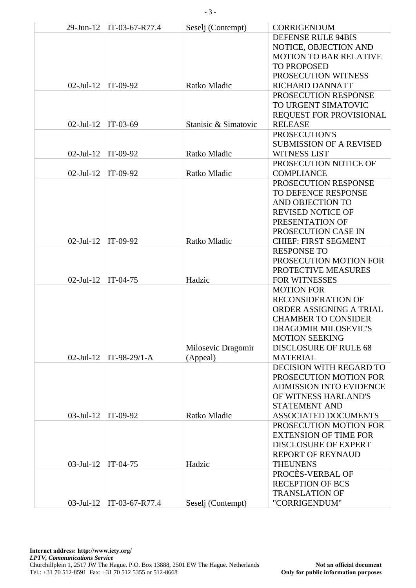| $29$ -Jun- $12$ | IT-03-67-R77.4 | Seselj (Contempt)    | <b>CORRIGENDUM</b>                        |
|-----------------|----------------|----------------------|-------------------------------------------|
|                 |                |                      | DEFENSE RULE 94BIS                        |
|                 |                |                      | NOTICE, OBJECTION AND                     |
|                 |                |                      | <b>MOTION TO BAR RELATIVE</b>             |
|                 |                |                      | <b>TO PROPOSED</b>                        |
|                 |                |                      | PROSECUTION WITNESS                       |
| $02$ -Jul-12    | $IT-09-92$     | Ratko Mladic         | RICHARD DANNATT                           |
|                 |                |                      | PROSECUTION RESPONSE                      |
|                 |                |                      | TO URGENT SIMATOVIC                       |
|                 |                |                      | REQUEST FOR PROVISIONAL                   |
| $02$ -Jul-12    | $IT-03-69$     | Stanisic & Simatovic | <b>RELEASE</b>                            |
|                 |                |                      | PROSECUTION'S                             |
|                 |                |                      | <b>SUBMISSION OF A REVISED</b>            |
| $02$ -Jul-12    | IT-09-92       | Ratko Mladic         | <b>WITNESS LIST</b>                       |
|                 |                |                      | PROSECUTION NOTICE OF                     |
| $02$ -Jul-12    | IT-09-92       | Ratko Mladic         | <b>COMPLIANCE</b>                         |
|                 |                |                      | PROSECUTION RESPONSE                      |
|                 |                |                      | TO DEFENCE RESPONSE                       |
|                 |                |                      | AND OBJECTION TO                          |
|                 |                |                      | <b>REVISED NOTICE OF</b>                  |
|                 |                |                      | PRESENTATION OF                           |
|                 |                |                      | PROSECUTION CASE IN                       |
| $02$ -Jul-12    | IT-09-92       | Ratko Mladic         | <b>CHIEF: FIRST SEGMENT</b>               |
|                 |                |                      | <b>RESPONSE TO</b>                        |
|                 |                |                      | PROSECUTION MOTION FOR                    |
| $02$ -Jul-12    | $IT-04-75$     | Hadzic               | PROTECTIVE MEASURES                       |
|                 |                |                      | <b>FOR WITNESSES</b><br><b>MOTION FOR</b> |
|                 |                |                      | <b>RECONSIDERATION OF</b>                 |
|                 |                |                      | ORDER ASSIGNING A TRIAL                   |
|                 |                |                      | <b>CHAMBER TO CONSIDER</b>                |
|                 |                |                      | DRAGOMIR MILOSEVIC'S                      |
|                 |                |                      | <b>MOTION SEEKING</b>                     |
|                 |                | Milosevic Dragomir   | <b>DISCLOSURE OF RULE 68</b>              |
| $02$ -Jul-12    | $IT-98-29/1-A$ | (Appeal)             | <b>MATERIAL</b>                           |
|                 |                |                      | DECISION WITH REGARD TO                   |
|                 |                |                      | PROSECUTION MOTION FOR                    |
|                 |                |                      | <b>ADMISSION INTO EVIDENCE</b>            |
|                 |                |                      | OF WITNESS HARLAND'S                      |
|                 |                |                      | <b>STATEMENT AND</b>                      |
| $03$ -Jul-12    | IT-09-92       | Ratko Mladic         | <b>ASSOCIATED DOCUMENTS</b>               |
|                 |                |                      | PROSECUTION MOTION FOR                    |
|                 |                |                      | <b>EXTENSION OF TIME FOR</b>              |
|                 |                |                      | <b>DISCLOSURE OF EXPERT</b>               |
|                 |                |                      | <b>REPORT OF REYNAUD</b>                  |
| $03$ -Jul-12    | $IT-04-75$     | Hadzic               | <b>THEUNENS</b>                           |
|                 |                |                      | PROCÈS-VERBAL OF                          |
|                 |                |                      | <b>RECEPTION OF BCS</b>                   |
|                 |                |                      | <b>TRANSLATION OF</b>                     |
| $03$ -Jul-12    | IT-03-67-R77.4 | Seselj (Contempt)    | "CORRIGENDUM"                             |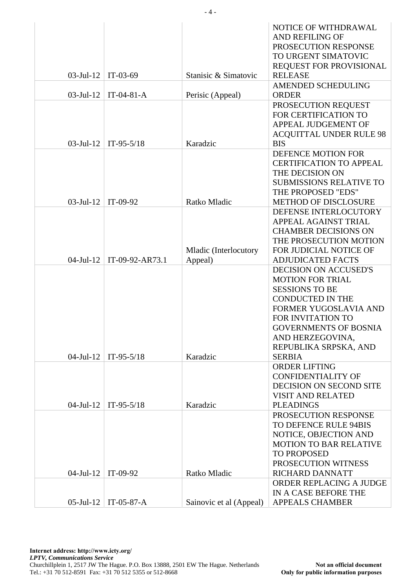|              |                 |                         | NOTICE OF WITHDRAWAL<br><b>AND REFILING OF</b><br>PROSECUTION RESPONSE<br>TO URGENT SIMATOVIC |
|--------------|-----------------|-------------------------|-----------------------------------------------------------------------------------------------|
| $03$ -Jul-12 | $IT-03-69$      | Stanisic & Simatovic    | REQUEST FOR PROVISIONAL<br><b>RELEASE</b>                                                     |
| $03$ -Jul-12 | $IT-04-81-A$    | Perisic (Appeal)        | AMENDED SCHEDULING<br><b>ORDER</b>                                                            |
|              |                 |                         | PROSECUTION REQUEST                                                                           |
|              |                 |                         | FOR CERTIFICATION TO<br>APPEAL JUDGEMENT OF                                                   |
|              |                 |                         | <b>ACQUITTAL UNDER RULE 98</b>                                                                |
| $03$ -Jul-12 | $IT-95-5/18$    | Karadzic                | <b>BIS</b><br>DEFENCE MOTION FOR                                                              |
|              |                 |                         | <b>CERTIFICATION TO APPEAL</b>                                                                |
|              |                 |                         | THE DECISION ON                                                                               |
|              |                 |                         | <b>SUBMISSIONS RELATIVE TO</b>                                                                |
|              |                 |                         | THE PROPOSED "EDS"                                                                            |
| $03$ -Jul-12 | IT-09-92        | Ratko Mladic            | <b>METHOD OF DISCLOSURE</b>                                                                   |
|              |                 |                         | DEFENSE INTERLOCUTORY                                                                         |
|              |                 |                         | APPEAL AGAINST TRIAL                                                                          |
|              |                 |                         | <b>CHAMBER DECISIONS ON</b>                                                                   |
|              |                 |                         | THE PROSECUTION MOTION                                                                        |
|              |                 | Mladic (Interlocutory   | FOR JUDICIAL NOTICE OF                                                                        |
| $04$ -Jul-12 | IT-09-92-AR73.1 | Appeal)                 | <b>ADJUDICATED FACTS</b>                                                                      |
|              |                 |                         | <b>DECISION ON ACCUSED'S</b><br><b>MOTION FOR TRIAL</b>                                       |
|              |                 |                         | <b>SESSIONS TO BE</b>                                                                         |
|              |                 |                         | <b>CONDUCTED IN THE</b>                                                                       |
|              |                 |                         | FORMER YUGOSLAVIA AND                                                                         |
|              |                 |                         | FOR INVITATION TO                                                                             |
|              |                 |                         | <b>GOVERNMENTS OF BOSNIA</b>                                                                  |
|              |                 |                         | AND HERZEGOVINA,                                                                              |
|              |                 |                         | REPUBLIKA SRPSKA, AND                                                                         |
| $04$ -Jul-12 | $IT-95-5/18$    | Karadzic                | <b>SERBIA</b>                                                                                 |
|              |                 |                         | <b>ORDER LIFTING</b>                                                                          |
|              |                 |                         | <b>CONFIDENTIALITY OF</b>                                                                     |
|              |                 |                         | DECISION ON SECOND SITE                                                                       |
|              |                 |                         | <b>VISIT AND RELATED</b>                                                                      |
| $04$ -Jul-12 | $IT-95-5/18$    | Karadzic                | <b>PLEADINGS</b>                                                                              |
|              |                 |                         | PROSECUTION RESPONSE                                                                          |
|              |                 |                         | TO DEFENCE RULE 94BIS                                                                         |
|              |                 |                         | NOTICE, OBJECTION AND                                                                         |
|              |                 |                         | <b>MOTION TO BAR RELATIVE</b>                                                                 |
|              |                 |                         | <b>TO PROPOSED</b>                                                                            |
|              |                 |                         | PROSECUTION WITNESS                                                                           |
| $04$ -Jul-12 | $IT-09-92$      | Ratko Mladic            | RICHARD DANNATT                                                                               |
|              |                 |                         | ORDER REPLACING A JUDGE                                                                       |
|              |                 |                         | IN A CASE BEFORE THE                                                                          |
| $05$ -Jul-12 | $IT-05-87-A$    | Sainovic et al (Appeal) | <b>APPEALS CHAMBER</b>                                                                        |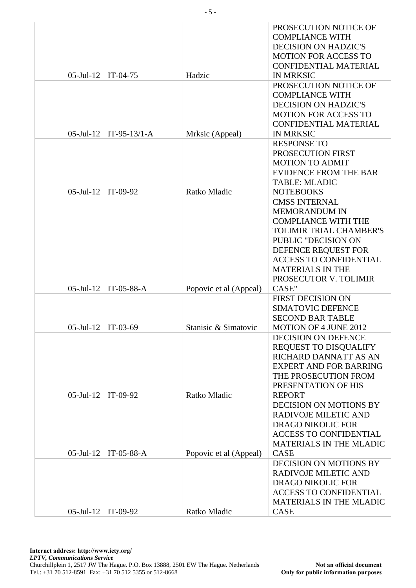| $05$ -Jul-12         | $IT-04-75$     | Hadzic                 | PROSECUTION NOTICE OF<br><b>COMPLIANCE WITH</b><br><b>DECISION ON HADZIC'S</b><br><b>MOTION FOR ACCESS TO</b><br><b>CONFIDENTIAL MATERIAL</b><br><b>IN MRKSIC</b>                                                                               |
|----------------------|----------------|------------------------|-------------------------------------------------------------------------------------------------------------------------------------------------------------------------------------------------------------------------------------------------|
|                      |                |                        | PROSECUTION NOTICE OF<br><b>COMPLIANCE WITH</b><br><b>DECISION ON HADZIC'S</b><br><b>MOTION FOR ACCESS TO</b><br><b>CONFIDENTIAL MATERIAL</b>                                                                                                   |
| $05$ -Jul- $12$      | $IT-95-13/1-A$ | Mrksic (Appeal)        | <b>IN MRKSIC</b>                                                                                                                                                                                                                                |
| $05$ -Jul- $12$      | IT-09-92       | Ratko Mladic           | <b>RESPONSE TO</b><br>PROSECUTION FIRST<br><b>MOTION TO ADMIT</b><br><b>EVIDENCE FROM THE BAR</b><br><b>TABLE: MLADIC</b><br><b>NOTEBOOKS</b>                                                                                                   |
|                      |                |                        | <b>CMSS INTERNAL</b><br><b>MEMORANDUM IN</b><br><b>COMPLIANCE WITH THE</b><br><b>TOLIMIR TRIAL CHAMBER'S</b><br>PUBLIC "DECISION ON<br>DEFENCE REQUEST FOR<br><b>ACCESS TO CONFIDENTIAL</b><br><b>MATERIALS IN THE</b><br>PROSECUTOR V. TOLIMIR |
| $05$ -Jul-12         | IT-05-88-A     | Popovic et al (Appeal) | CASE"                                                                                                                                                                                                                                           |
| $05$ -Jul- $12$      | $IT-03-69$     | Stanisic & Simatovic   | <b>FIRST DECISION ON</b><br>SIMATOVIC DEFENCE<br><b>SECOND BAR TABLE</b><br><b>MOTION OF 4 JUNE 2012</b>                                                                                                                                        |
| $05$ -Jul-12         | $IT-09-92$     | Ratko Mladic           | <b>DECISION ON DEFENCE</b><br>REQUEST TO DISQUALIFY<br>RICHARD DANNATT AS AN<br><b>EXPERT AND FOR BARRING</b><br>THE PROSECUTION FROM<br>PRESENTATION OF HIS<br><b>REPORT</b>                                                                   |
|                      |                |                        | DECISION ON MOTIONS BY<br><b>RADIVOJE MILETIC AND</b><br>DRAGO NIKOLIC FOR<br><b>ACCESS TO CONFIDENTIAL</b><br><b>MATERIALS IN THE MLADIC</b>                                                                                                   |
| $05$ -Jul-12         | IT-05-88- $A$  | Popovic et al (Appeal) | <b>CASE</b><br>DECISION ON MOTIONS BY<br>RADIVOJE MILETIC AND<br><b>DRAGO NIKOLIC FOR</b><br><b>ACCESS TO CONFIDENTIAL</b><br>MATERIALS IN THE MLADIC                                                                                           |
| 05-Jul-12   IT-09-92 |                | Ratko Mladic           | CASE                                                                                                                                                                                                                                            |